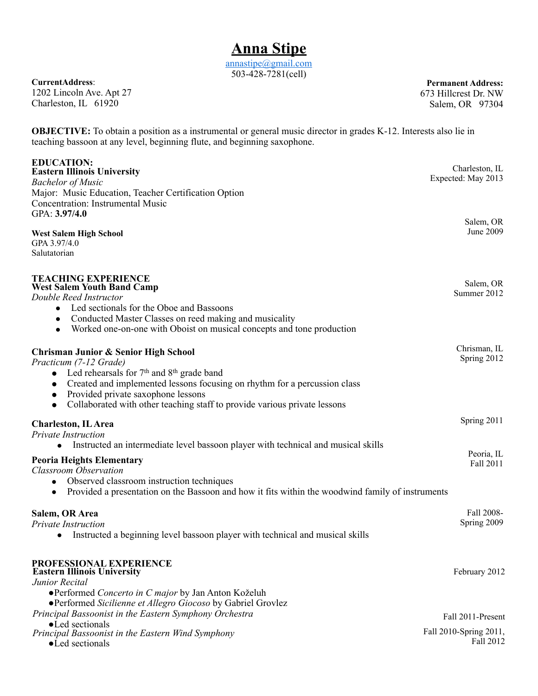[annastipe@gmail.com](mailto:annastipe@gmail.com) 503-428-7281(cell)

**CurrentAddress**: 1202 Lincoln Ave. Apt 27 Charleston, IL 61920

**Permanent Address:** 673 Hillcrest Dr. NW Salem, OR 97304

Fall 2010-Spring 2011,

**OBJECTIVE:** To obtain a position as a instrumental or general music director in grades K-12. Interests also lie in teaching bassoon at any level, beginning flute, and beginning saxophone.

| <b>EDUCATION:</b><br><b>Eastern Illinois University</b><br><b>Bachelor of Music</b><br>Major: Music Education, Teacher Certification Option<br><b>Concentration: Instrumental Music</b>                                                                                                                                                                             | Charleston, IL<br>Expected: May 2013 |
|---------------------------------------------------------------------------------------------------------------------------------------------------------------------------------------------------------------------------------------------------------------------------------------------------------------------------------------------------------------------|--------------------------------------|
| GPA: 3.97/4.0<br><b>West Salem High School</b><br>GPA 3.97/4.0                                                                                                                                                                                                                                                                                                      | Salem, OR<br>June 2009               |
| Salutatorian                                                                                                                                                                                                                                                                                                                                                        |                                      |
| <b>TEACHING EXPERIENCE</b><br><b>West Salem Youth Band Camp</b><br>Double Reed Instructor<br>Led sectionals for the Oboe and Bassoons<br>$\bullet$<br>Conducted Master Classes on reed making and musicality<br>$\bullet$<br>Worked one-on-one with Oboist on musical concepts and tone production<br>$\bullet$                                                     | Salem, OR<br>Summer 2012             |
| <b>Chrisman Junior &amp; Senior High School</b><br>Practicum (7-12 Grade)<br>• Led rehearsals for $7th$ and $8th$ grade band<br>Created and implemented lessons focusing on rhythm for a percussion class<br>$\bullet$<br>Provided private saxophone lessons<br>$\bullet$<br>Collaborated with other teaching staff to provide various private lessons<br>$\bullet$ | Chrisman, IL<br>Spring 2012          |
| <b>Charleston</b> , IL Area<br><b>Private Instruction</b>                                                                                                                                                                                                                                                                                                           | Spring 2011                          |
| Instructed an intermediate level bassoon player with technical and musical skills<br>$\bullet$<br><b>Peoria Heights Elementary</b><br><b>Classroom Observation</b><br>Observed classroom instruction techniques<br>$\bullet$<br>Provided a presentation on the Bassoon and how it fits within the woodwind family of instruments<br>$\bullet$                       | Peoria, IL<br>Fall 2011              |
| Salem, OR Area<br><b>Private Instruction</b><br>Instructed a beginning level bassoon player with technical and musical skills                                                                                                                                                                                                                                       | Fall 2008-<br>Spring 2009            |
| PROFESSIONAL EXPERIENCE<br><b>Eastern Illinois University</b><br>Junior Recital<br>• Performed Concerto in C major by Jan Anton Koželuh<br>•Performed Sicilienne et Allegro Giocoso by Gabriel Grovlez                                                                                                                                                              | February 2012                        |
| Principal Bassoonist in the Eastern Symphony Orchestra                                                                                                                                                                                                                                                                                                              | Fall 2011-Present                    |
| •Led sectionals                                                                                                                                                                                                                                                                                                                                                     |                                      |

Fall 2012 *Principal Bassoonist in the Eastern Wind Symphony*

●Led sectionals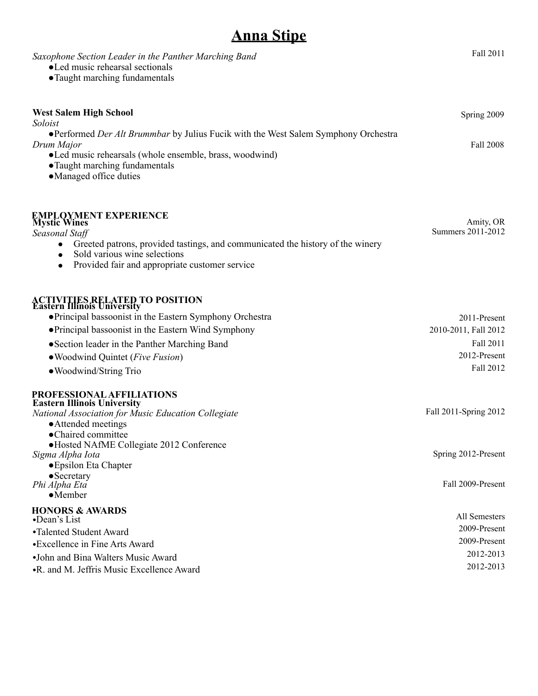## **Anna Stipe**

| Saxophone Section Leader in the Panther Marching Band<br>• Led music rehearsal sectionals<br>• Taught marching fundamentals                                                                                                                                                                                     | Fall 2011                                                                      |
|-----------------------------------------------------------------------------------------------------------------------------------------------------------------------------------------------------------------------------------------------------------------------------------------------------------------|--------------------------------------------------------------------------------|
| <b>West Salem High School</b><br>Soloist                                                                                                                                                                                                                                                                        | Spring 2009                                                                    |
| •Performed Der Alt Brummbar by Julius Fucik with the West Salem Symphony Orchestra<br>Drum Major<br>•Led music rehearsals (whole ensemble, brass, woodwind)<br>• Taught marching fundamentals<br>• Managed office duties                                                                                        | <b>Fall 2008</b>                                                               |
| <b>EMPLOYMENT EXPERIENCE</b><br><b>Mystic Wines</b><br>Seasonal Staff<br>Greeted patrons, provided tastings, and communicated the history of the winery<br>Sold various wine selections<br>Provided fair and appropriate customer service                                                                       | Amity, OR<br>Summers 2011-2012                                                 |
| <b>ACTIVITIES RELATED TO POSITION</b><br>Eastern Illinois University<br>• Principal bassoonist in the Eastern Symphony Orchestra<br>• Principal bassoonist in the Eastern Wind Symphony<br>• Section leader in the Panther Marching Band<br>• Woodwind Quintet ( <i>Five Fusion</i> )<br>• Woodwind/String Trio | 2011-Present<br>2010-2011, Fall 2012<br>Fall 2011<br>2012-Present<br>Fall 2012 |
| PROFESSIONAL AFFILIATIONS<br><b>Eastern Illinois University</b><br>National Association for Music Education Collegiate<br>• Attended meetings<br>•Chaired committee<br>·Hosted NAfME Collegiate 2012 Conference<br>Sigma Alpha Iota                                                                             | Fall 2011-Spring 2012<br>Spring 2012-Present                                   |
| • Epsilon Eta Chapter<br>$\bullet$ Secretary<br>Phi Alpha Eta<br>$\bullet$ Member                                                                                                                                                                                                                               | Fall 2009-Present                                                              |
| <b>HONORS &amp; AWARDS</b><br>•Dean's List<br>•Talented Student Award<br>•Excellence in Fine Arts Award<br>•John and Bina Walters Music Award<br>•R. and M. Jeffris Music Excellence Award                                                                                                                      | All Semesters<br>2009-Present<br>2009-Present<br>2012-2013<br>2012-2013        |